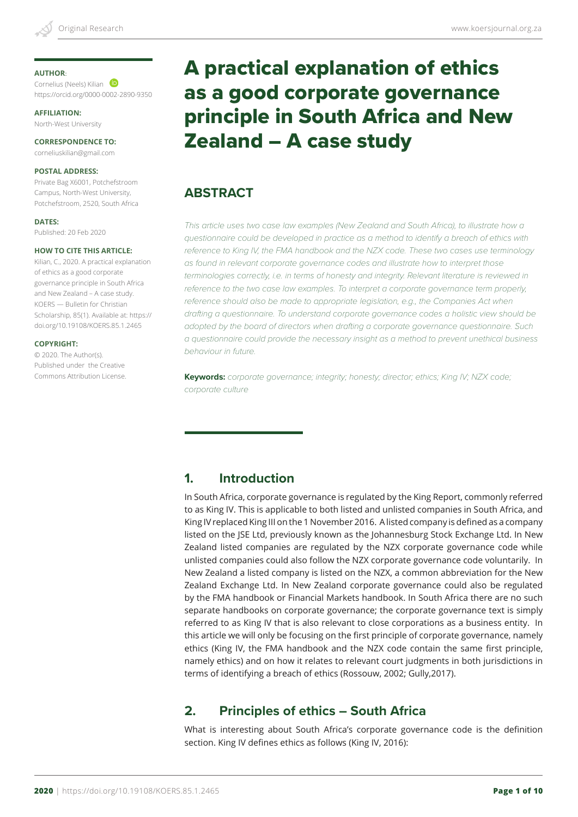#### **AUTHOR**:

Cornelius (Neels) Kilian https://orcid.org/0000-0002-2890-9350

**AFFILIATION:** North-West University

**CORRESPONDENCE TO:** corneliuskilian@gmail.com

#### **POSTAL ADDRESS:**

Private Bag X6001, Potchefstroom Campus, North-West University, Potchefstroom, 2520, South Africa

**DATES:**

Published: 20 Feb 2020

#### **HOW TO CITE THIS ARTICLE:**

Kilian, C., 2020. A practical explanation of ethics as a good corporate governance principle in South Africa and New Zealand – A case study. KOERS — Bulletin for Christian Scholarship, 85(1). Available at: https:// doi.org/10.19108/KOERS.85.1.2465

#### **COPYRIGHT:**

© 2020. The Author(s). Published under the Creative Commons Attribution License.

# A practical explanation of ethics as a good corporate governance principle in South Africa and New Zealand – A case study

# **ABSTRACT**

*This article uses two case law examples (New Zealand and South Africa), to illustrate how a questionnaire could be developed in practice as a method to identify a breach of ethics with reference to King IV, the FMA handbook and the NZX code. These two cases use terminology as found in relevant corporate governance codes and illustrate how to interpret those terminologies correctly, i.e. in terms of honesty and integrity. Relevant literature is reviewed in reference to the two case law examples. To interpret a corporate governance term properly, reference should also be made to appropriate legislation, e.g., the Companies Act when drafting a questionnaire. To understand corporate governance codes a holistic view should be adopted by the board of directors when drafting a corporate governance questionnaire. Such a questionnaire could provide the necessary insight as a method to prevent unethical business behaviour in future.* 

**Keywords:** *corporate governance; integrity; honesty; director; ethics; King IV; NZX code; corporate culture* 

## **1. Introduction**

In South Africa, corporate governance is regulated by the King Report, commonly referred to as King IV. This is applicable to both listed and unlisted companies in South Africa, and King IV replaced King III on the 1 November 2016. A listed company is defined as a company listed on the JSE Ltd, previously known as the Johannesburg Stock Exchange Ltd. In New Zealand listed companies are regulated by the NZX corporate governance code while unlisted companies could also follow the NZX corporate governance code voluntarily. In New Zealand a listed company is listed on the NZX, a common abbreviation for the New Zealand Exchange Ltd. In New Zealand corporate governance could also be regulated by the FMA handbook or Financial Markets handbook. In South Africa there are no such separate handbooks on corporate governance; the corporate governance text is simply referred to as King IV that is also relevant to close corporations as a business entity. In this article we will only be focusing on the first principle of corporate governance, namely ethics (King IV, the FMA handbook and the NZX code contain the same first principle, namely ethics) and on how it relates to relevant court judgments in both jurisdictions in terms of identifying a breach of ethics (Rossouw, 2002; Gully,2017).

## **2. Principles of ethics – South Africa**

What is interesting about South Africa's corporate governance code is the definition section. King IV defines ethics as follows (King IV, 2016):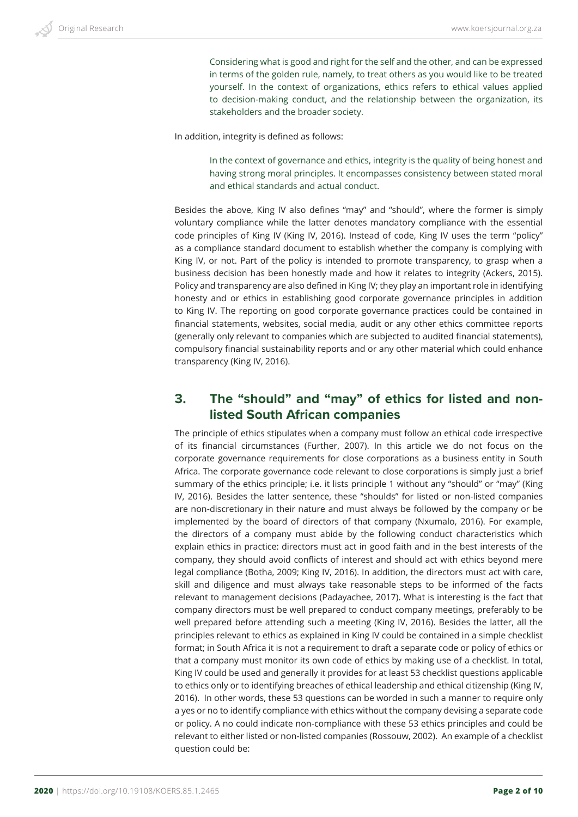Considering what is good and right for the self and the other, and can be expressed in terms of the golden rule, namely, to treat others as you would like to be treated yourself. In the context of organizations, ethics refers to ethical values applied to decision-making conduct, and the relationship between the organization, its stakeholders and the broader society.

In addition, integrity is defined as follows:

In the context of governance and ethics, integrity is the quality of being honest and having strong moral principles. It encompasses consistency between stated moral and ethical standards and actual conduct.

Besides the above, King IV also defines "may" and "should", where the former is simply voluntary compliance while the latter denotes mandatory compliance with the essential code principles of King IV (King IV, 2016). Instead of code, King IV uses the term "policy" as a compliance standard document to establish whether the company is complying with King IV, or not. Part of the policy is intended to promote transparency, to grasp when a business decision has been honestly made and how it relates to integrity (Ackers, 2015). Policy and transparency are also defined in King IV; they play an important role in identifying honesty and or ethics in establishing good corporate governance principles in addition to King IV. The reporting on good corporate governance practices could be contained in financial statements, websites, social media, audit or any other ethics committee reports (generally only relevant to companies which are subjected to audited financial statements), compulsory financial sustainability reports and or any other material which could enhance transparency (King IV, 2016).

### **3. The "should" and "may" of ethics for listed and nonlisted South African companies**

The principle of ethics stipulates when a company must follow an ethical code irrespective of its financial circumstances (Further, 2007). In this article we do not focus on the corporate governance requirements for close corporations as a business entity in South Africa. The corporate governance code relevant to close corporations is simply just a brief summary of the ethics principle; i.e. it lists principle 1 without any "should" or "may" (King IV, 2016). Besides the latter sentence, these "shoulds" for listed or non-listed companies are non-discretionary in their nature and must always be followed by the company or be implemented by the board of directors of that company (Nxumalo, 2016). For example, the directors of a company must abide by the following conduct characteristics which explain ethics in practice: directors must act in good faith and in the best interests of the company, they should avoid conflicts of interest and should act with ethics beyond mere legal compliance (Botha, 2009; King IV, 2016). In addition, the directors must act with care, skill and diligence and must always take reasonable steps to be informed of the facts relevant to management decisions (Padayachee, 2017). What is interesting is the fact that company directors must be well prepared to conduct company meetings, preferably to be well prepared before attending such a meeting (King IV, 2016). Besides the latter, all the principles relevant to ethics as explained in King IV could be contained in a simple checklist format; in South Africa it is not a requirement to draft a separate code or policy of ethics or that a company must monitor its own code of ethics by making use of a checklist. In total, King IV could be used and generally it provides for at least 53 checklist questions applicable to ethics only or to identifying breaches of ethical leadership and ethical citizenship (King IV, 2016). In other words, these 53 questions can be worded in such a manner to require only a yes or no to identify compliance with ethics without the company devising a separate code or policy. A no could indicate non-compliance with these 53 ethics principles and could be relevant to either listed or non-listed companies (Rossouw, 2002). An example of a checklist question could be: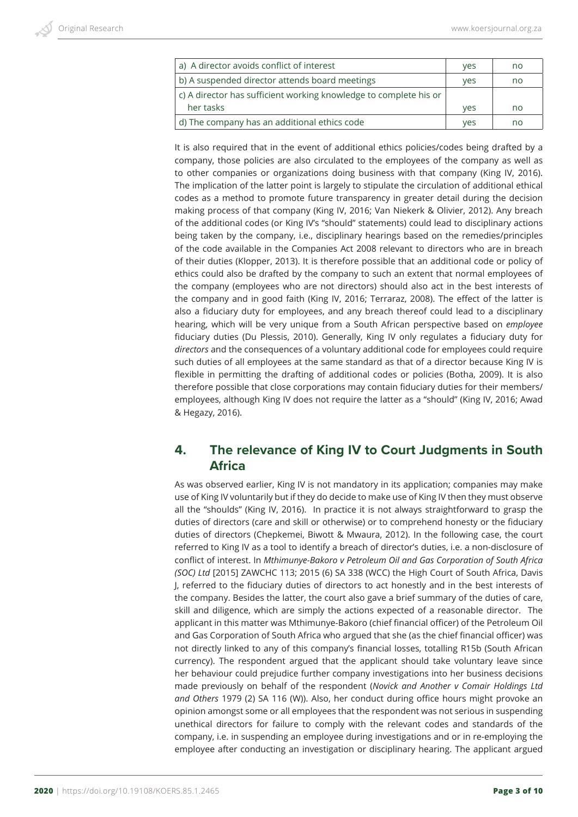| a) A director avoids conflict of interest                         | <b>ves</b> | no |
|-------------------------------------------------------------------|------------|----|
| b) A suspended director attends board meetings                    | yes        | no |
| c) A director has sufficient working knowledge to complete his or |            |    |
| her tasks                                                         | <b>ves</b> | no |
| d) The company has an additional ethics code                      | ves        | no |

It is also required that in the event of additional ethics policies/codes being drafted by a company, those policies are also circulated to the employees of the company as well as to other companies or organizations doing business with that company (King IV, 2016). The implication of the latter point is largely to stipulate the circulation of additional ethical codes as a method to promote future transparency in greater detail during the decision making process of that company (King IV, 2016; Van Niekerk & Olivier, 2012). Any breach of the additional codes (or King IV's "should" statements) could lead to disciplinary actions being taken by the company, i.e., disciplinary hearings based on the remedies/principles of the code available in the Companies Act 2008 relevant to directors who are in breach of their duties (Klopper, 2013). It is therefore possible that an additional code or policy of ethics could also be drafted by the company to such an extent that normal employees of the company (employees who are not directors) should also act in the best interests of the company and in good faith (King IV, 2016; Terraraz, 2008). The effect of the latter is also a fiduciary duty for employees, and any breach thereof could lead to a disciplinary hearing, which will be very unique from a South African perspective based on *employee* fiduciary duties (Du Plessis, 2010). Generally, King IV only regulates a fiduciary duty for *directors* and the consequences of a voluntary additional code for employees could require such duties of all employees at the same standard as that of a director because King IV is flexible in permitting the drafting of additional codes or policies (Botha, 2009). It is also therefore possible that close corporations may contain fiduciary duties for their members/ employees, although King IV does not require the latter as a "should" (King IV, 2016; Awad & Hegazy, 2016).

#### **4. The relevance of King IV to Court Judgments in South Africa**

As was observed earlier, King IV is not mandatory in its application; companies may make use of King IV voluntarily but if they do decide to make use of King IV then they must observe all the "shoulds" (King IV, 2016). In practice it is not always straightforward to grasp the duties of directors (care and skill or otherwise) or to comprehend honesty or the fiduciary duties of directors (Chepkemei, Biwott & Mwaura, 2012). In the following case, the court referred to King IV as a tool to identify a breach of director's duties, i.e. a non-disclosure of conflict of interest. In *Mthimunye-Bakoro v Petroleum Oil and Gas Corporation of South Africa (SOC) Ltd* [2015] ZAWCHC 113; 2015 (6) SA 338 (WCC) the High Court of South Africa, Davis J, referred to the fiduciary duties of directors to act honestly and in the best interests of the company. Besides the latter, the court also gave a brief summary of the duties of care, skill and diligence, which are simply the actions expected of a reasonable director. The applicant in this matter was Mthimunye-Bakoro (chief financial officer) of the Petroleum Oil and Gas Corporation of South Africa who argued that she (as the chief financial officer) was not directly linked to any of this company's financial losses, totalling R15b (South African currency). The respondent argued that the applicant should take voluntary leave since her behaviour could prejudice further company investigations into her business decisions made previously on behalf of the respondent (*Novick and Another v Comair Holdings Ltd and Others* 1979 (2) SA 116 (W)). Also, her conduct during office hours might provoke an opinion amongst some or all employees that the respondent was not serious in suspending unethical directors for failure to comply with the relevant codes and standards of the company, i.e. in suspending an employee during investigations and or in re-employing the employee after conducting an investigation or disciplinary hearing. The applicant argued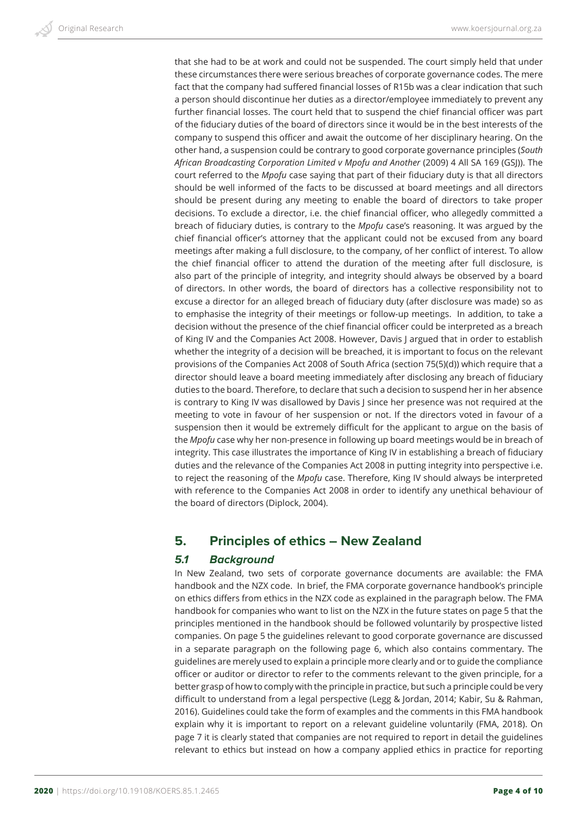that she had to be at work and could not be suspended. The court simply held that under these circumstances there were serious breaches of corporate governance codes. The mere fact that the company had suffered financial losses of R15b was a clear indication that such a person should discontinue her duties as a director/employee immediately to prevent any further financial losses. The court held that to suspend the chief financial officer was part of the fiduciary duties of the board of directors since it would be in the best interests of the company to suspend this officer and await the outcome of her disciplinary hearing. On the other hand, a suspension could be contrary to good corporate governance principles (*South African Broadcasting Corporation Limited v Mpofu and Another* (2009) 4 All SA 169 (GSJ)). The court referred to the *Mpofu* case saying that part of their fiduciary duty is that all directors should be well informed of the facts to be discussed at board meetings and all directors should be present during any meeting to enable the board of directors to take proper decisions. To exclude a director, i.e. the chief financial officer, who allegedly committed a breach of fiduciary duties, is contrary to the *Mpofu* case's reasoning. It was argued by the chief financial officer's attorney that the applicant could not be excused from any board meetings after making a full disclosure, to the company, of her conflict of interest. To allow the chief financial officer to attend the duration of the meeting after full disclosure, is also part of the principle of integrity, and integrity should always be observed by a board of directors. In other words, the board of directors has a collective responsibility not to excuse a director for an alleged breach of fiduciary duty (after disclosure was made) so as to emphasise the integrity of their meetings or follow-up meetings. In addition, to take a decision without the presence of the chief financial officer could be interpreted as a breach of King IV and the Companies Act 2008. However, Davis J argued that in order to establish whether the integrity of a decision will be breached, it is important to focus on the relevant provisions of the Companies Act 2008 of South Africa (section 75(5)(d)) which require that a director should leave a board meeting immediately after disclosing any breach of fiduciary duties to the board. Therefore, to declare that such a decision to suspend her in her absence is contrary to King IV was disallowed by Davis J since her presence was not required at the meeting to vote in favour of her suspension or not. If the directors voted in favour of a suspension then it would be extremely difficult for the applicant to argue on the basis of the *Mpofu* case why her non-presence in following up board meetings would be in breach of integrity. This case illustrates the importance of King IV in establishing a breach of fiduciary duties and the relevance of the Companies Act 2008 in putting integrity into perspective i.e. to reject the reasoning of the *Mpofu* case. Therefore, King IV should always be interpreted with reference to the Companies Act 2008 in order to identify any unethical behaviour of the board of directors (Diplock, 2004).

#### **5. Principles of ethics – New Zealand**

#### *5.1 Background*

In New Zealand, two sets of corporate governance documents are available: the FMA handbook and the NZX code. In brief, the FMA corporate governance handbook's principle on ethics differs from ethics in the NZX code as explained in the paragraph below. The FMA handbook for companies who want to list on the NZX in the future states on page 5 that the principles mentioned in the handbook should be followed voluntarily by prospective listed companies. On page 5 the guidelines relevant to good corporate governance are discussed in a separate paragraph on the following page 6, which also contains commentary. The guidelines are merely used to explain a principle more clearly and or to guide the compliance officer or auditor or director to refer to the comments relevant to the given principle, for a better grasp of how to comply with the principle in practice, but such a principle could be very difficult to understand from a legal perspective (Legg & Jordan, 2014; Kabir, Su & Rahman, 2016). Guidelines could take the form of examples and the comments in this FMA handbook explain why it is important to report on a relevant guideline voluntarily (FMA, 2018). On page 7 it is clearly stated that companies are not required to report in detail the guidelines relevant to ethics but instead on how a company applied ethics in practice for reporting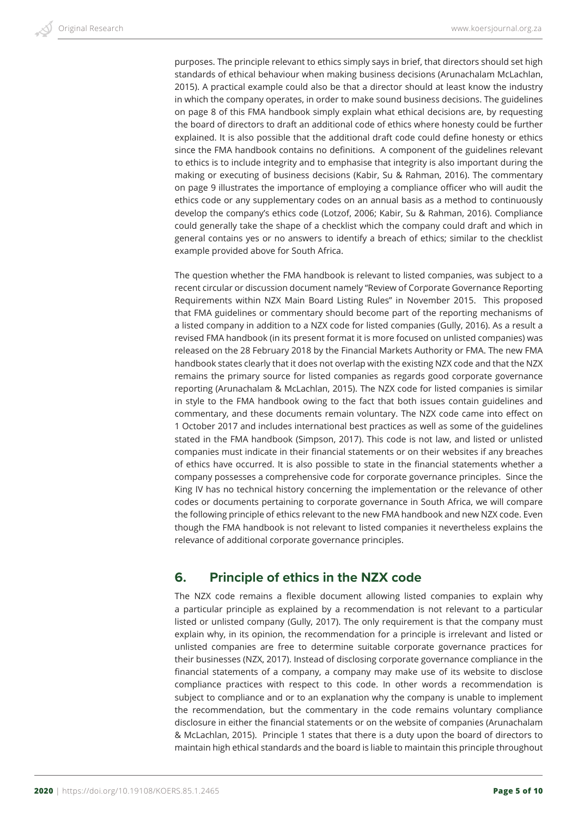purposes. The principle relevant to ethics simply says in brief, that directors should set high standards of ethical behaviour when making business decisions (Arunachalam McLachlan, 2015). A practical example could also be that a director should at least know the industry in which the company operates, in order to make sound business decisions. The guidelines on page 8 of this FMA handbook simply explain what ethical decisions are, by requesting the board of directors to draft an additional code of ethics where honesty could be further explained. It is also possible that the additional draft code could define honesty or ethics since the FMA handbook contains no definitions. A component of the guidelines relevant to ethics is to include integrity and to emphasise that integrity is also important during the making or executing of business decisions (Kabir, Su & Rahman, 2016). The commentary on page 9 illustrates the importance of employing a compliance officer who will audit the ethics code or any supplementary codes on an annual basis as a method to continuously develop the company's ethics code (Lotzof, 2006; Kabir, Su & Rahman, 2016). Compliance could generally take the shape of a checklist which the company could draft and which in general contains yes or no answers to identify a breach of ethics; similar to the checklist example provided above for South Africa.

The question whether the FMA handbook is relevant to listed companies, was subject to a recent circular or discussion document namely "Review of Corporate Governance Reporting Requirements within NZX Main Board Listing Rules" in November 2015. This proposed that FMA guidelines or commentary should become part of the reporting mechanisms of a listed company in addition to a NZX code for listed companies (Gully, 2016). As a result a revised FMA handbook (in its present format it is more focused on unlisted companies) was released on the 28 February 2018 by the Financial Markets Authority or FMA. The new FMA handbook states clearly that it does not overlap with the existing NZX code and that the NZX remains the primary source for listed companies as regards good corporate governance reporting (Arunachalam & McLachlan, 2015). The NZX code for listed companies is similar in style to the FMA handbook owing to the fact that both issues contain guidelines and commentary, and these documents remain voluntary. The NZX code came into effect on 1 October 2017 and includes international best practices as well as some of the guidelines stated in the FMA handbook (Simpson, 2017). This code is not law, and listed or unlisted companies must indicate in their financial statements or on their websites if any breaches of ethics have occurred. It is also possible to state in the financial statements whether a company possesses a comprehensive code for corporate governance principles. Since the King IV has no technical history concerning the implementation or the relevance of other codes or documents pertaining to corporate governance in South Africa, we will compare the following principle of ethics relevant to the new FMA handbook and new NZX code. Even though the FMA handbook is not relevant to listed companies it nevertheless explains the relevance of additional corporate governance principles.

## **6. Principle of ethics in the NZX code**

The NZX code remains a flexible document allowing listed companies to explain why a particular principle as explained by a recommendation is not relevant to a particular listed or unlisted company (Gully, 2017). The only requirement is that the company must explain why, in its opinion, the recommendation for a principle is irrelevant and listed or unlisted companies are free to determine suitable corporate governance practices for their businesses (NZX, 2017). Instead of disclosing corporate governance compliance in the financial statements of a company, a company may make use of its website to disclose compliance practices with respect to this code. In other words a recommendation is subject to compliance and or to an explanation why the company is unable to implement the recommendation, but the commentary in the code remains voluntary compliance disclosure in either the financial statements or on the website of companies (Arunachalam & McLachlan, 2015). Principle 1 states that there is a duty upon the board of directors to maintain high ethical standards and the board is liable to maintain this principle throughout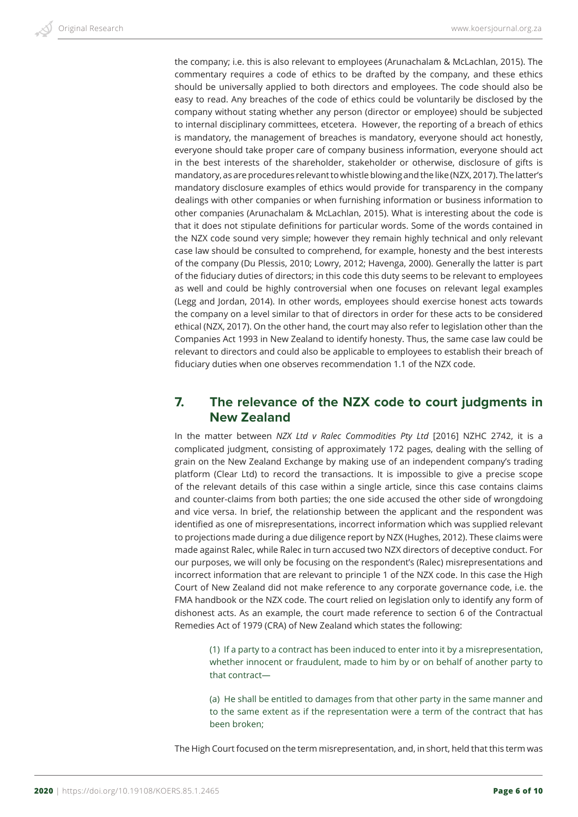the company; i.e. this is also relevant to employees (Arunachalam & McLachlan, 2015). The commentary requires a code of ethics to be drafted by the company, and these ethics should be universally applied to both directors and employees. The code should also be easy to read. Any breaches of the code of ethics could be voluntarily be disclosed by the company without stating whether any person (director or employee) should be subjected to internal disciplinary committees, etcetera. However, the reporting of a breach of ethics is mandatory, the management of breaches is mandatory, everyone should act honestly, everyone should take proper care of company business information, everyone should act in the best interests of the shareholder, stakeholder or otherwise, disclosure of gifts is mandatory, as are procedures relevant to whistle blowing and the like (NZX, 2017). The latter's mandatory disclosure examples of ethics would provide for transparency in the company dealings with other companies or when furnishing information or business information to other companies (Arunachalam & McLachlan, 2015). What is interesting about the code is that it does not stipulate definitions for particular words. Some of the words contained in the NZX code sound very simple; however they remain highly technical and only relevant case law should be consulted to comprehend, for example, honesty and the best interests of the company (Du Plessis, 2010; Lowry, 2012; Havenga, 2000). Generally the latter is part of the fiduciary duties of directors; in this code this duty seems to be relevant to employees as well and could be highly controversial when one focuses on relevant legal examples (Legg and Jordan, 2014). In other words, employees should exercise honest acts towards the company on a level similar to that of directors in order for these acts to be considered ethical (NZX, 2017). On the other hand, the court may also refer to legislation other than the Companies Act 1993 in New Zealand to identify honesty. Thus, the same case law could be relevant to directors and could also be applicable to employees to establish their breach of fiduciary duties when one observes recommendation 1.1 of the NZX code.

#### **7. The relevance of the NZX code to court judgments in New Zealand**

In the matter between *NZX Ltd v Ralec Commodities Pty Ltd* [2016] NZHC 2742, it is a complicated judgment, consisting of approximately 172 pages, dealing with the selling of grain on the New Zealand Exchange by making use of an independent company's trading platform (Clear Ltd) to record the transactions. It is impossible to give a precise scope of the relevant details of this case within a single article, since this case contains claims and counter-claims from both parties; the one side accused the other side of wrongdoing and vice versa. In brief, the relationship between the applicant and the respondent was identified as one of misrepresentations, incorrect information which was supplied relevant to projections made during a due diligence report by NZX (Hughes, 2012). These claims were made against Ralec, while Ralec in turn accused two NZX directors of deceptive conduct. For our purposes, we will only be focusing on the respondent's (Ralec) misrepresentations and incorrect information that are relevant to principle 1 of the NZX code. In this case the High Court of New Zealand did not make reference to any corporate governance code, i.e. the FMA handbook or the NZX code. The court relied on legislation only to identify any form of dishonest acts. As an example, the court made reference to section 6 of the Contractual Remedies Act of 1979 (CRA) of New Zealand which states the following:

(1) If a party to a contract has been induced to enter into it by a misrepresentation, whether innocent or fraudulent, made to him by or on behalf of another party to that contract—

(a) He shall be entitled to damages from that other party in the same manner and to the same extent as if the representation were a term of the contract that has been broken;

The High Court focused on the term misrepresentation, and, in short, held that this term was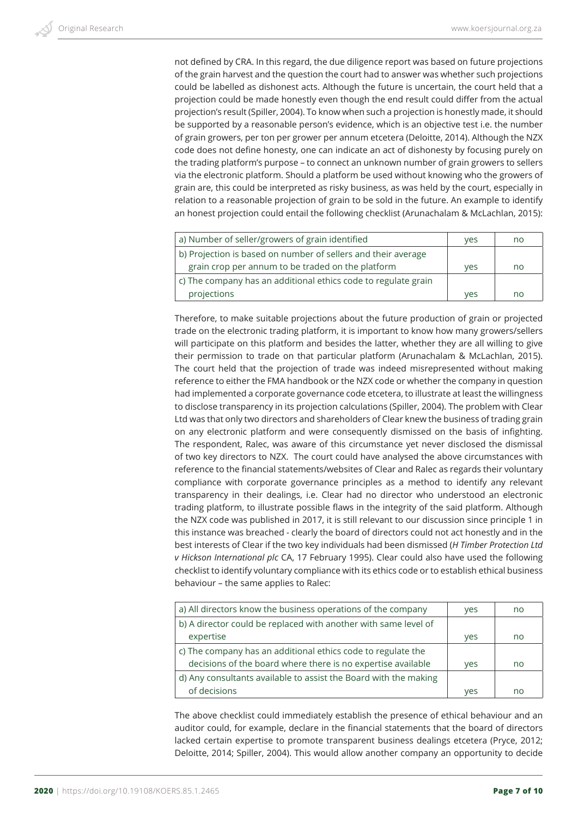not defined by CRA. In this regard, the due diligence report was based on future projections of the grain harvest and the question the court had to answer was whether such projections could be labelled as dishonest acts. Although the future is uncertain, the court held that a projection could be made honestly even though the end result could differ from the actual projection's result (Spiller, 2004). To know when such a projection is honestly made, it should be supported by a reasonable person's evidence, which is an objective test i.e. the number of grain growers, per ton per grower per annum etcetera (Deloitte, 2014). Although the NZX code does not define honesty, one can indicate an act of dishonesty by focusing purely on the trading platform's purpose – to connect an unknown number of grain growers to sellers via the electronic platform. Should a platform be used without knowing who the growers of grain are, this could be interpreted as risky business, as was held by the court, especially in relation to a reasonable projection of grain to be sold in the future. An example to identify an honest projection could entail the following checklist (Arunachalam & McLachlan, 2015):

| a) Number of seller/growers of grain identified                | yes        | no |
|----------------------------------------------------------------|------------|----|
| b) Projection is based on number of sellers and their average  |            |    |
| grain crop per annum to be traded on the platform              | ves        | no |
| c) The company has an additional ethics code to regulate grain |            |    |
| projections                                                    | <b>ves</b> | no |

Therefore, to make suitable projections about the future production of grain or projected trade on the electronic trading platform, it is important to know how many growers/sellers will participate on this platform and besides the latter, whether they are all willing to give their permission to trade on that particular platform (Arunachalam & McLachlan, 2015). The court held that the projection of trade was indeed misrepresented without making reference to either the FMA handbook or the NZX code or whether the company in question had implemented a corporate governance code etcetera, to illustrate at least the willingness to disclose transparency in its projection calculations (Spiller, 2004). The problem with Clear Ltd was that only two directors and shareholders of Clear knew the business of trading grain on any electronic platform and were consequently dismissed on the basis of infighting. The respondent, Ralec, was aware of this circumstance yet never disclosed the dismissal of two key directors to NZX. The court could have analysed the above circumstances with reference to the financial statements/websites of Clear and Ralec as regards their voluntary compliance with corporate governance principles as a method to identify any relevant transparency in their dealings, i.e. Clear had no director who understood an electronic trading platform, to illustrate possible flaws in the integrity of the said platform. Although the NZX code was published in 2017, it is still relevant to our discussion since principle 1 in this instance was breached - clearly the board of directors could not act honestly and in the best interests of Clear if the two key individuals had been dismissed (*H Timber Protection Ltd v Hickson International plc* CA, 17 February 1995). Clear could also have used the following checklist to identify voluntary compliance with its ethics code or to establish ethical business behaviour – the same applies to Ralec:

| a) All directors know the business operations of the company     | yes | no |
|------------------------------------------------------------------|-----|----|
| b) A director could be replaced with another with same level of  |     |    |
| expertise                                                        | yes | no |
| c) The company has an additional ethics code to regulate the     |     |    |
| decisions of the board where there is no expertise available     | yes | no |
| d) Any consultants available to assist the Board with the making |     |    |
| of decisions                                                     | yes | no |

The above checklist could immediately establish the presence of ethical behaviour and an auditor could, for example, declare in the financial statements that the board of directors lacked certain expertise to promote transparent business dealings etcetera (Pryce, 2012; Deloitte, 2014; Spiller, 2004). This would allow another company an opportunity to decide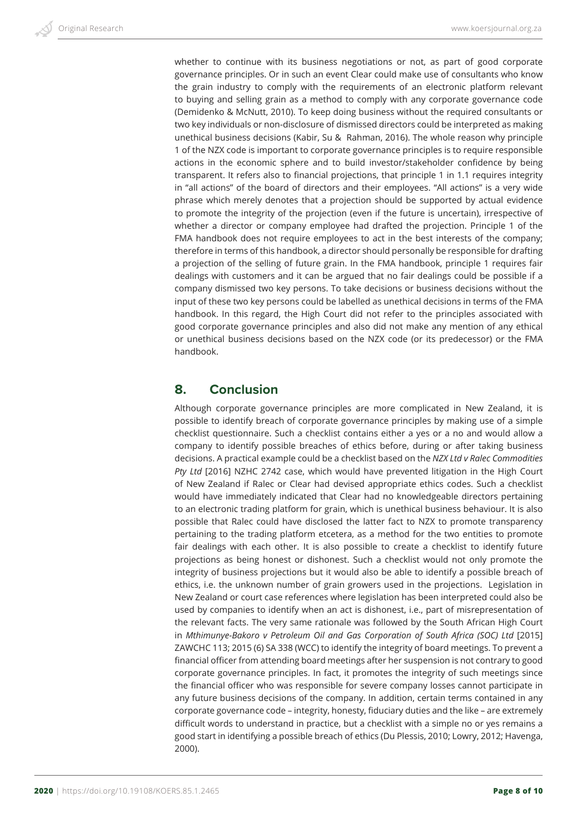whether to continue with its business negotiations or not, as part of good corporate governance principles. Or in such an event Clear could make use of consultants who know the grain industry to comply with the requirements of an electronic platform relevant to buying and selling grain as a method to comply with any corporate governance code (Demidenko & McNutt, 2010). To keep doing business without the required consultants or two key individuals or non-disclosure of dismissed directors could be interpreted as making unethical business decisions (Kabir, Su & Rahman, 2016). The whole reason why principle 1 of the NZX code is important to corporate governance principles is to require responsible actions in the economic sphere and to build investor/stakeholder confidence by being transparent. It refers also to financial projections, that principle 1 in 1.1 requires integrity in "all actions" of the board of directors and their employees. "All actions" is a very wide phrase which merely denotes that a projection should be supported by actual evidence to promote the integrity of the projection (even if the future is uncertain), irrespective of whether a director or company employee had drafted the projection. Principle 1 of the FMA handbook does not require employees to act in the best interests of the company; therefore in terms of this handbook, a director should personally be responsible for drafting a projection of the selling of future grain. In the FMA handbook, principle 1 requires fair dealings with customers and it can be argued that no fair dealings could be possible if a company dismissed two key persons. To take decisions or business decisions without the input of these two key persons could be labelled as unethical decisions in terms of the FMA handbook. In this regard, the High Court did not refer to the principles associated with good corporate governance principles and also did not make any mention of any ethical or unethical business decisions based on the NZX code (or its predecessor) or the FMA handbook.

## **8. Conclusion**

Although corporate governance principles are more complicated in New Zealand, it is possible to identify breach of corporate governance principles by making use of a simple checklist questionnaire. Such a checklist contains either a yes or a no and would allow a company to identify possible breaches of ethics before, during or after taking business decisions. A practical example could be a checklist based on the *NZX Ltd v Ralec Commodities Pty Ltd* [2016] NZHC 2742 case, which would have prevented litigation in the High Court of New Zealand if Ralec or Clear had devised appropriate ethics codes. Such a checklist would have immediately indicated that Clear had no knowledgeable directors pertaining to an electronic trading platform for grain, which is unethical business behaviour. It is also possible that Ralec could have disclosed the latter fact to NZX to promote transparency pertaining to the trading platform etcetera, as a method for the two entities to promote fair dealings with each other. It is also possible to create a checklist to identify future projections as being honest or dishonest. Such a checklist would not only promote the integrity of business projections but it would also be able to identify a possible breach of ethics, i.e. the unknown number of grain growers used in the projections. Legislation in New Zealand or court case references where legislation has been interpreted could also be used by companies to identify when an act is dishonest, i.e., part of misrepresentation of the relevant facts. The very same rationale was followed by the South African High Court in *Mthimunye-Bakoro v Petroleum Oil and Gas Corporation of South Africa (SOC) Ltd* [2015] ZAWCHC 113; 2015 (6) SA 338 (WCC) to identify the integrity of board meetings. To prevent a financial officer from attending board meetings after her suspension is not contrary to good corporate governance principles. In fact, it promotes the integrity of such meetings since the financial officer who was responsible for severe company losses cannot participate in any future business decisions of the company. In addition, certain terms contained in any corporate governance code – integrity, honesty, fiduciary duties and the like – are extremely difficult words to understand in practice, but a checklist with a simple no or yes remains a good start in identifying a possible breach of ethics (Du Plessis, 2010; Lowry, 2012; Havenga, 2000).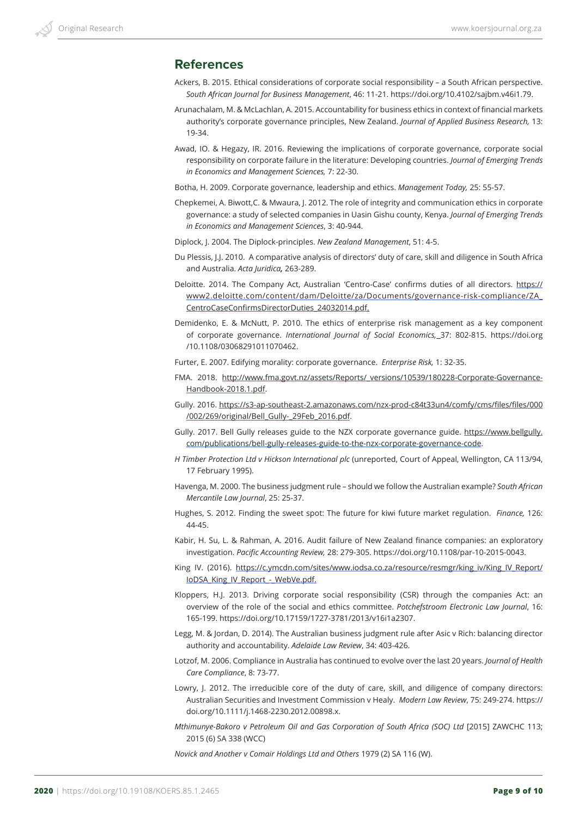#### **References**

- Ackers, B. 2015. Ethical considerations of corporate social responsibility a South African perspective. *South African Journal for Business Management*, 46: 11-21. https://doi.org/10.4102/sajbm.v46i1.79.
- Arunachalam, M. & McLachlan, A. 2015. Accountability for business ethics in context of financial markets authority's corporate governance principles, New Zealand. *Journal of Applied Business Research,* 13: 19-34.
- Awad, IO. & Hegazy, IR. 2016. Reviewing the implications of corporate governance, corporate social responsibility on corporate failure in the literature: Developing countries. *Journal of Emerging Trends in Economics and Management Sciences,* 7: 22-30.
- Botha, H. 2009. Corporate governance, leadership and ethics. *Management Today,* 25: 55-57.
- Chepkemei, A. Biwott,C. & Mwaura, J. 2012. The role of integrity and communication ethics in corporate governance: a study of selected companies in Uasin Gishu county, Kenya. *Journal of Emerging Trends in Economics and Management Sciences*, 3: 40-944.
- Diplock, J. 2004. The Diplock-principles. *New Zealand Management*, 51: 4-5.
- Du Plessis, J.J. 2010. A comparative analysis of directors' duty of care, skill and diligence in South Africa and Australia. *Acta Juridica,* 263-289.
- Deloitte. 2014. The Company Act, Australian 'Centro-Case' confirms duties of all directors. https:// www2.deloitte.com/content/dam/Deloitte/za/Documents/governance-risk-compliance/ZA\_ CentroCaseConfirmsDirectorDuties\_24032014.pdf.
- Demidenko, E. & McNutt, P. 2010. The ethics of enterprise risk management as a key component of corporate governance. *International Journal of Social Economics,* 37: 802-815. https://doi.org /10.1108/03068291011070462.
- Furter, E. 2007. Edifying morality: corporate governance. *Enterprise Risk,* 1: 32-35.
- FMA. 2018. http://www.fma.govt.nz/assets/Reports/\_versions/10539/180228-Corporate-Governance-Handbook-2018.1.pdf.
- Gully. 2016. https://s3-ap-southeast-2.amazonaws.com/nzx-prod-c84t33un4/comfy/cms/files/files/000 /002/269/original/Bell\_Gully-\_29Feb\_2016.pdf.
- Gully. 2017. Bell Gully releases guide to the NZX corporate governance guide. https://www.bellgully. com/publications/bell-gully-releases-guide-to-the-nzx-corporate-governance-code.
- *H Timber Protection Ltd v Hickson International plc* (unreported, Court of Appeal, Wellington, CA 113/94, 17 February 1995).
- Havenga, M. 2000. The business judgment rule should we follow the Australian example? *South African Mercantile Law Journal*, 25: 25-37.
- Hughes, S. 2012. Finding the sweet spot: The future for kiwi future market regulation. *Finance,* 126: 44-45.
- Kabir, H. Su, L. & Rahman, A. 2016. Audit failure of New Zealand finance companies: an exploratory investigation. *Pacific Accounting Review,* 28: 279-305. https://doi.org/10.1108/par-10-2015-0043.
- King IV. (2016). https://c.ymcdn.com/sites/www.iodsa.co.za/resource/resmgr/king\_iv/King\_IV\_Report/ IoDSA\_King\_IV\_Report\_-\_WebVe.pdf.
- Kloppers, H.J. 2013. Driving corporate social responsibility (CSR) through the companies Act: an overview of the role of the social and ethics committee. *Potchefstroom Electronic Law Journal*, 16: 165-199. https://doi.org/10.17159/1727-3781/2013/v16i1a2307.
- Legg, M. & Jordan, D. 2014). The Australian business judgment rule after Asic v Rich: balancing director authority and accountability. *Adelaide Law Review*, 34: 403-426.
- Lotzof, M. 2006. Compliance in Australia has continued to evolve over the last 20 years. *Journal of Health Care Compliance*, 8: 73-77.
- Lowry, J. 2012. The irreducible core of the duty of care, skill, and diligence of company directors: Australian Securities and Investment Commission v Healy. *Modern Law Review*, 75: 249-274. https:// doi.org/10.1111/j.1468-2230.2012.00898.x.
- *Mthimunye-Bakoro v Petroleum Oil and Gas Corporation of South Africa (SOC) Ltd* [2015] ZAWCHC 113; 2015 (6) SA 338 (WCC)

*Novick and Another v Comair Holdings Ltd and Others* 1979 (2) SA 116 (W).